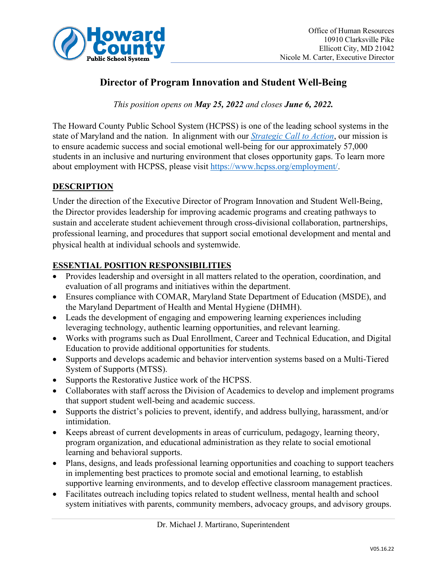

# **Director of Program Innovation and Student Well-Being**

*This position opens on May 25, 2022 and closes June 6, 2022.*

The Howard County Public School System (HCPSS) is one of the leading school systems in the state of Maryland and the nation. In alignment with our *[Strategic Call to Action](https://www.hcpss.org/scta/)*, our mission is to ensure academic success and social emotional well-being for our approximately 57,000 students in an inclusive and nurturing environment that closes opportunity gaps. To learn more about employment with HCPSS, please visit [https://www.hcpss.org/employment/.](https://www.hcpss.org/employment/)

## **DESCRIPTION**

Under the direction of the Executive Director of Program Innovation and Student Well-Being, the Director provides leadership for improving academic programs and creating pathways to sustain and accelerate student achievement through cross-divisional collaboration, partnerships, professional learning, and procedures that support social emotional development and mental and physical health at individual schools and systemwide.

### **ESSENTIAL POSITION RESPONSIBILITIES**

- Provides leadership and oversight in all matters related to the operation, coordination, and evaluation of all programs and initiatives within the department.
- Ensures compliance with COMAR, Maryland State Department of Education (MSDE), and the Maryland Department of Health and Mental Hygiene (DHMH).
- Leads the development of engaging and empowering learning experiences including leveraging technology, authentic learning opportunities, and relevant learning.
- Works with programs such as Dual Enrollment, Career and Technical Education, and Digital Education to provide additional opportunities for students.
- Supports and develops academic and behavior intervention systems based on a Multi-Tiered System of Supports (MTSS).
- Supports the Restorative Justice work of the HCPSS.
- Collaborates with staff across the Division of Academics to develop and implement programs that support student well-being and academic success.
- Supports the district's policies to prevent, identify, and address bullying, harassment, and/or intimidation.
- Keeps abreast of current developments in areas of curriculum, pedagogy, learning theory, program organization, and educational administration as they relate to social emotional learning and behavioral supports.
- Plans, designs, and leads professional learning opportunities and coaching to support teachers in implementing best practices to promote social and emotional learning, to establish supportive learning environments, and to develop effective classroom management practices.
- Facilitates outreach including topics related to student wellness, mental health and school system initiatives with parents, community members, advocacy groups, and advisory groups.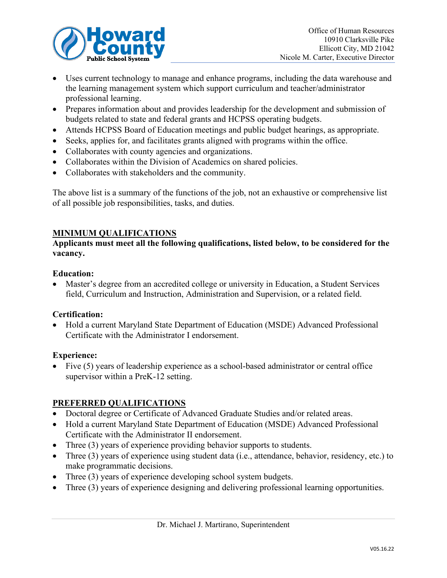

- Uses current technology to manage and enhance programs, including the data warehouse and the learning management system which support curriculum and teacher/administrator professional learning.
- Prepares information about and provides leadership for the development and submission of budgets related to state and federal grants and HCPSS operating budgets.
- Attends HCPSS Board of Education meetings and public budget hearings, as appropriate.
- Seeks, applies for, and facilitates grants aligned with programs within the office.
- Collaborates with county agencies and organizations.
- Collaborates within the Division of Academics on shared policies.
- Collaborates with stakeholders and the community.

The above list is a summary of the functions of the job, not an exhaustive or comprehensive list of all possible job responsibilities, tasks, and duties.

#### **MINIMUM QUALIFICATIONS**

#### **Applicants must meet all the following qualifications, listed below, to be considered for the vacancy.**

#### **Education:**

• Master's degree from an accredited college or university in Education, a Student Services field, Curriculum and Instruction, Administration and Supervision, or a related field.

#### **Certification:**

• Hold a current Maryland State Department of Education (MSDE) Advanced Professional Certificate with the Administrator I endorsement.

#### **Experience:**

• Five (5) years of leadership experience as a school-based administrator or central office supervisor within a PreK-12 setting.

## **PREFERRED QUALIFICATIONS**

- Doctoral degree or Certificate of Advanced Graduate Studies and/or related areas.
- Hold a current Maryland State Department of Education (MSDE) Advanced Professional Certificate with the Administrator II endorsement.
- Three (3) years of experience providing behavior supports to students.
- Three (3) years of experience using student data (i.e., attendance, behavior, residency, etc.) to make programmatic decisions.
- Three (3) years of experience developing school system budgets.
- Three (3) years of experience designing and delivering professional learning opportunities.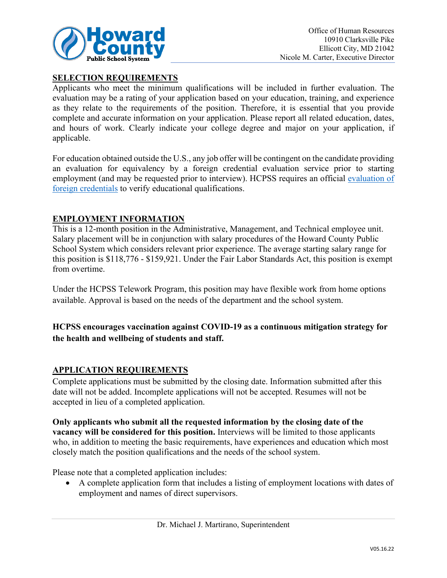

### **SELECTION REQUIREMENTS**

Applicants who meet the minimum qualifications will be included in further evaluation. The evaluation may be a rating of your application based on your education, training, and experience as they relate to the requirements of the position. Therefore, it is essential that you provide complete and accurate information on your application. Please report all related education, dates, and hours of work. Clearly indicate your college degree and major on your application, if applicable.

For education obtained outside the U.S., any job offer will be contingent on the candidate providing an evaluation for equivalency by a foreign credential evaluation service prior to starting employment (and may be requested prior to interview). HCPSS requires an official [evaluation of](http://www.marylandpublicschools.org/about/Pages/DEE/Certification/Foreign-Transcript-Evaluation-Agencies.aspx)  [foreign credentials](http://www.marylandpublicschools.org/about/Pages/DEE/Certification/Foreign-Transcript-Evaluation-Agencies.aspx) to verify educational qualifications.

#### **EMPLOYMENT INFORMATION**

This is a 12-month position in the Administrative, Management, and Technical employee unit. Salary placement will be in conjunction with salary procedures of the Howard County Public School System which considers relevant prior experience. The average starting salary range for this position is \$118,776 - \$159,921. Under the Fair Labor Standards Act, this position is exempt from overtime.

Under the HCPSS Telework Program, this position may have flexible work from home options available. Approval is based on the needs of the department and the school system.

# **HCPSS encourages vaccination against COVID-19 as a continuous mitigation strategy for the health and wellbeing of students and staff.**

#### **APPLICATION REQUIREMENTS**

Complete applications must be submitted by the closing date. Information submitted after this date will not be added. Incomplete applications will not be accepted. Resumes will not be accepted in lieu of a completed application.

**Only applicants who submit all the requested information by the closing date of the vacancy will be considered for this position.** Interviews will be limited to those applicants who, in addition to meeting the basic requirements, have experiences and education which most closely match the position qualifications and the needs of the school system.

Please note that a completed application includes:

• A complete application form that includes a listing of employment locations with dates of employment and names of direct supervisors.